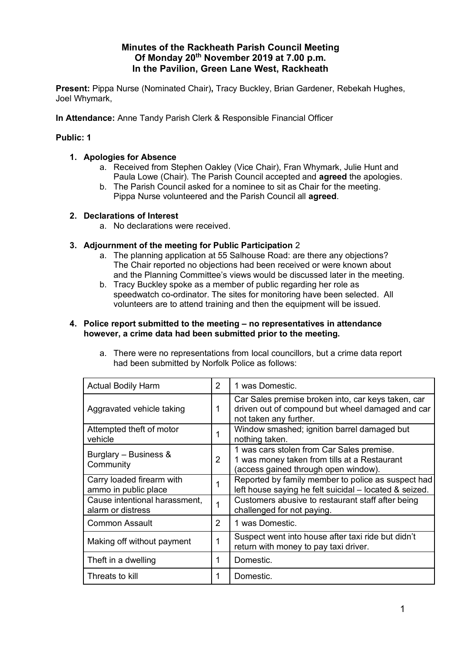# **Minutes of the Rackheath Parish Council Meeting Of Monday 20 th November 2019 at 7.00 p.m. In the Pavilion, Green Lane West, Rackheath**

**Present:** Pippa Nurse (Nominated Chair)**,** Tracy Buckley, Brian Gardener, Rebekah Hughes, Joel Whymark,

**In Attendance:** Anne Tandy Parish Clerk & Responsible Financial Officer

# **Public: 1**

## **1. Apologies for Absence**

- a. Received from Stephen Oakley (Vice Chair), Fran Whymark, Julie Hunt and Paula Lowe (Chair). The Parish Council accepted and **agreed** the apologies.
- b. The Parish Council asked for a nominee to sit as Chair for the meeting. Pippa Nurse volunteered and the Parish Council all **agreed**.

## **2. Declarations of Interest**

a. No declarations were received.

## **3. Adjournment of the meeting for Public Participation** 2

- a. The planning application at 55 Salhouse Road: are there any objections? The Chair reported no objections had been received or were known about and the Planning Committee's views would be discussed later in the meeting.
- b. Tracy Buckley spoke as a member of public regarding her role as speedwatch co-ordinator. The sites for monitoring have been selected. All volunteers are to attend training and then the equipment will be issued.

#### **4. Police report submitted to the meeting – no representatives in attendance however, a crime data had been submitted prior to the meeting.**

| <b>Actual Bodily Harm</b>                          | $\overline{2}$ | 1 was Domestic.                                                                                                                   |
|----------------------------------------------------|----------------|-----------------------------------------------------------------------------------------------------------------------------------|
| Aggravated vehicle taking                          | 1              | Car Sales premise broken into, car keys taken, car<br>driven out of compound but wheel damaged and car<br>not taken any further.  |
| Attempted theft of motor<br>vehicle                |                | Window smashed; ignition barrel damaged but<br>nothing taken.                                                                     |
| Burglary - Business &<br>Community                 | $\overline{2}$ | 1 was cars stolen from Car Sales premise.<br>1 was money taken from tills at a Restaurant<br>(access gained through open window). |
| Carry loaded firearm with<br>ammo in public place  |                | Reported by family member to police as suspect had<br>left house saying he felt suicidal - located & seized.                      |
| Cause intentional harassment,<br>alarm or distress | 1              | Customers abusive to restaurant staff after being<br>challenged for not paying.                                                   |
| <b>Common Assault</b>                              | 2              | 1 was Domestic.                                                                                                                   |
| Making off without payment                         | 1              | Suspect went into house after taxi ride but didn't<br>return with money to pay taxi driver.                                       |
| Theft in a dwelling                                | 1              | Domestic.                                                                                                                         |
| Threats to kill                                    | 1              | Domestic.                                                                                                                         |

a. There were no representations from local councillors, but a crime data report had been submitted by Norfolk Police as follows: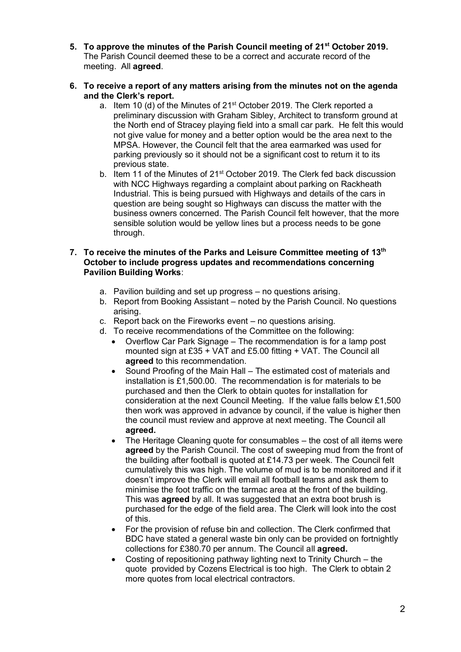- **5. To approve the minutes of the Parish Council meeting of 21st October 2019.**  The Parish Council deemed these to be a correct and accurate record of the meeting. All **agreed**.
- **6. To receive a report of any matters arising from the minutes not on the agenda and the Clerk's report.**
	- a. Item 10 (d) of the Minutes of 21<sup>st</sup> October 2019. The Clerk reported a preliminary discussion with Graham Sibley, Architect to transform ground at the North end of Stracey playing field into a small car park. He felt this would not give value for money and a better option would be the area next to the MPSA. However, the Council felt that the area earmarked was used for parking previously so it should not be a significant cost to return it to its previous state.
	- b. Item 11 of the Minutes of  $21^{st}$  October 2019. The Clerk fed back discussion with NCC Highways regarding a complaint about parking on Rackheath Industrial. This is being pursued with Highways and details of the cars in question are being sought so Highways can discuss the matter with the business owners concerned. The Parish Council felt however, that the more sensible solution would be yellow lines but a process needs to be gone through.
- **7. To receive the minutes of the Parks and Leisure Committee meeting of 13th October to include progress updates and recommendations concerning Pavilion Building Works**:
	- a. Pavilion building and set up progress no questions arising.
	- b. Report from Booking Assistant noted by the Parish Council. No questions arising.
	- c. Report back on the Fireworks event no questions arising.
	- d. To receive recommendations of the Committee on the following:
		- Overflow Car Park Signage The recommendation is for a lamp post mounted sign at £35 + VAT and £5.00 fitting + VAT. The Council all **agreed** to this recommendation.
		- Sound Proofing of the Main Hall The estimated cost of materials and installation is £1,500.00. The recommendation is for materials to be purchased and then the Clerk to obtain quotes for installation for consideration at the next Council Meeting. If the value falls below £1,500 then work was approved in advance by council, if the value is higher then the council must review and approve at next meeting. The Council all **agreed.**
		- The Heritage Cleaning quote for consumables the cost of all items were **agreed** by the Parish Council. The cost of sweeping mud from the front of the building after football is quoted at £14.73 per week. The Council felt cumulatively this was high. The volume of mud is to be monitored and if it doesn't improve the Clerk will email all football teams and ask them to minimise the foot traffic on the tarmac area at the front of the building. This was **agreed** by all. It was suggested that an extra boot brush is purchased for the edge of the field area. The Clerk will look into the cost of this.
		- For the provision of refuse bin and collection. The Clerk confirmed that BDC have stated a general waste bin only can be provided on fortnightly collections for £380.70 per annum. The Council all **agreed.**
		- Costing of repositioning pathway lighting next to Trinity Church the quote provided by Cozens Electrical is too high. The Clerk to obtain 2 more quotes from local electrical contractors.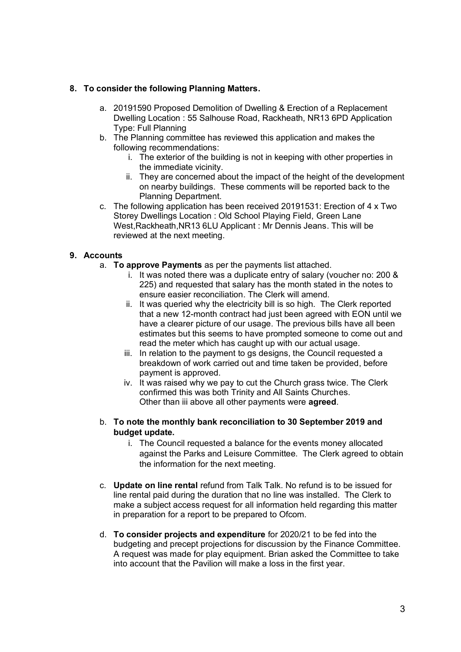## **8. To consider the following Planning Matters.**

- a. 20191590 Proposed Demolition of Dwelling & Erection of a Replacement Dwelling Location : 55 Salhouse Road, Rackheath, NR13 6PD Application Type: Full Planning
- b. The Planning committee has reviewed this application and makes the following recommendations:
	- i. The exterior of the building is not in keeping with other properties in the immediate vicinity.
	- ii. They are concerned about the impact of the height of the development on nearby buildings. These comments will be reported back to the Planning Department.
- c. The following application has been received 20191531: Erection of 4 x Two Storey Dwellings Location : Old School Playing Field, Green Lane West,Rackheath,NR13 6LU Applicant : Mr Dennis Jeans. This will be reviewed at the next meeting.

# **9. Accounts**

- a. **To approve Payments** as per the payments list attached.
	- i. It was noted there was a duplicate entry of salary (voucher no: 200 & 225) and requested that salary has the month stated in the notes to ensure easier reconciliation. The Clerk will amend.
	- ii. It was queried why the electricity bill is so high. The Clerk reported that a new 12-month contract had just been agreed with EON until we have a clearer picture of our usage. The previous bills have all been estimates but this seems to have prompted someone to come out and read the meter which has caught up with our actual usage.
	- iii. In relation to the payment to gs designs, the Council requested a breakdown of work carried out and time taken be provided, before payment is approved.
	- iv. It was raised why we pay to cut the Church grass twice. The Clerk confirmed this was both Trinity and All Saints Churches. Other than iii above all other payments were **agreed**.
- b. **To note the monthly bank reconciliation to 30 September 2019 and budget update.** 
	- i. The Council requested a balance for the events money allocated against the Parks and Leisure Committee. The Clerk agreed to obtain the information for the next meeting.
- c. **Update on line rental** refund from Talk Talk. No refund is to be issued for line rental paid during the duration that no line was installed. The Clerk to make a subject access request for all information held regarding this matter in preparation for a report to be prepared to Ofcom.
- d. **To consider projects and expenditure** for 2020/21 to be fed into the budgeting and precept projections for discussion by the Finance Committee. A request was made for play equipment. Brian asked the Committee to take into account that the Pavilion will make a loss in the first year.